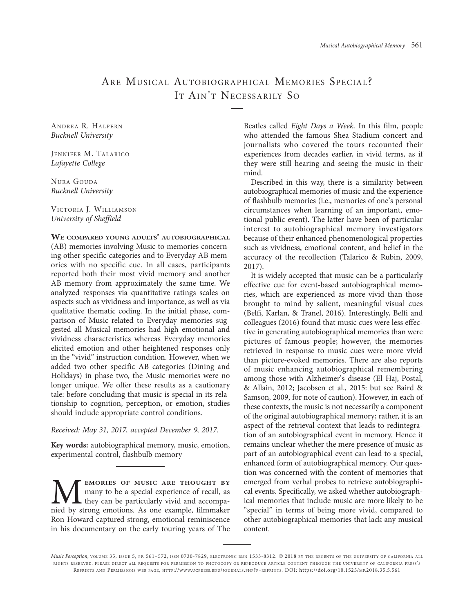# ARE MUSICAL AUTOBIOGRAPHICAL MEMORIES SPECIAL? IT AIN'T NECESSARILY SO

ANDREA R. HALPERN Bucknell University

JENNIFER M. TALARICO Lafayette College

NURA GOUDA Bucknell University

VICTORIA J. WILLIAMSON University of Sheffield

WE COMPARED YOUNG ADULTS' AUTOBIOGRAPHICAL (AB) memories involving Music to memories concerning other specific categories and to Everyday AB memories with no specific cue. In all cases, participants reported both their most vivid memory and another AB memory from approximately the same time. We analyzed responses via quantitative ratings scales on aspects such as vividness and importance, as well as via qualitative thematic coding. In the initial phase, comparison of Music-related to Everyday memories suggested all Musical memories had high emotional and vividness characteristics whereas Everyday memories elicited emotion and other heightened responses only in the "vivid" instruction condition. However, when we added two other specific AB categories (Dining and Holidays) in phase two, the Music memories were no longer unique. We offer these results as a cautionary tale: before concluding that music is special in its relationship to cognition, perception, or emotion, studies should include appropriate control conditions.

Received: May 31, 2017, accepted December 9, 2017.

Key words: autobiographical memory, music, emotion, experimental control, flashbulb memory

**MEMORIES OF MUSIC ARE THOUGHT BY** many to be a special experience of recall, as they can be particularly vivid and accompanied by strong emotions. As one example, filmmaker many to be a special experience of recall, as they can be particularly vivid and accompanied by strong emotions. As one example, filmmaker Ron Howard captured strong, emotional reminiscence in his documentary on the early touring years of The

Beatles called Eight Days a Week. In this film, people who attended the famous Shea Stadium concert and journalists who covered the tours recounted their experiences from decades earlier, in vivid terms, as if they were still hearing and seeing the music in their mind.

Described in this way, there is a similarity between autobiographical memories of music and the experience of flashbulb memories (i.e., memories of one's personal circumstances when learning of an important, emotional public event). The latter have been of particular interest to autobiographical memory investigators because of their enhanced phenomenological properties such as vividness, emotional content, and belief in the accuracy of the recollection (Talarico & Rubin, 2009, 2017).

It is widely accepted that music can be a particularly effective cue for event-based autobiographical memories, which are experienced as more vivid than those brought to mind by salient, meaningful visual cues (Belfi, Karlan, & Tranel, 2016). Interestingly, Belfi and colleagues (2016) found that music cues were less effective in generating autobiographical memories than were pictures of famous people; however, the memories retrieved in response to music cues were more vivid than picture-evoked memories. There are also reports of music enhancing autobiographical remembering among those with Alzheimer's disease (El Haj, Postal, & Allain, 2012; Jacobsen et al., 2015: but see Baird & Samson, 2009, for note of caution). However, in each of these contexts, the music is not necessarily a component of the original autobiographical memory; rather, it is an aspect of the retrieval context that leads to redintegration of an autobiographical event in memory. Hence it remains unclear whether the mere presence of music as part of an autobiographical event can lead to a special, enhanced form of autobiographical memory. Our question was concerned with the content of memories that emerged from verbal probes to retrieve autobiographical events. Specifically, we asked whether autobiographical memories that include music are more likely to be "special" in terms of being more vivid, compared to other autobiographical memories that lack any musical content.

Music Perception, VOLUME 35, ISSUE 5, PP. 561-572, ISSN 0730-7829, ELECTRONIC ISSN 1533-8312. @ 2018 BY THE REGENTS OF THE UNIVERSITY OF CALIFORNIA ALL RIGHTS RESERVED. PLEASE DIRECT ALL REQUESTS FOR PERMISSION TO PHOTOCOPY OR REPRODUCE ARTICLE CONTENT THROUGH THE UNIVERSITY OF CALIFORNIA PRESS'S REPRINTS AND PERMISSIONS WEB PAGE, HTTP://WWW.UCPRESS.EDU/JOURNALS.PHP?P=REPRINTS. [DOI: https://doi.org/10.1525/MP.2018.35.5.561](https://doi.org/10.1525/mp.2018.35.5.561)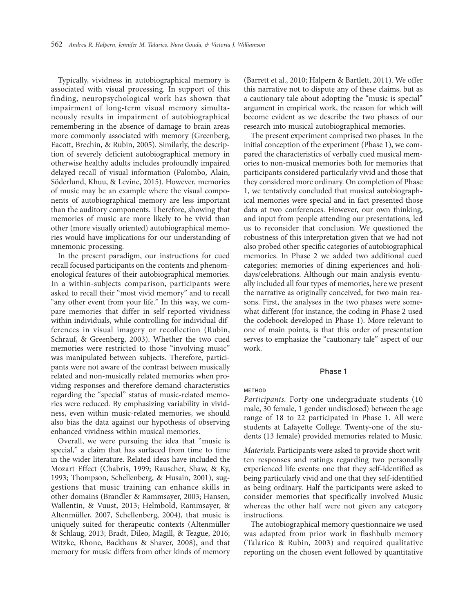Typically, vividness in autobiographical memory is associated with visual processing. In support of this finding, neuropsychological work has shown that impairment of long-term visual memory simultaneously results in impairment of autobiographical remembering in the absence of damage to brain areas more commonly associated with memory (Greenberg, Eacott, Brechin, & Rubin, 2005). Similarly, the description of severely deficient autobiographical memory in otherwise healthy adults includes profoundly impaired delayed recall of visual information (Palombo, Alain, Söderlund, Khuu, & Levine, 2015). However, memories of music may be an example where the visual components of autobiographical memory are less important than the auditory components. Therefore, showing that memories of music are more likely to be vivid than other (more visually oriented) autobiographical memories would have implications for our understanding of mnemonic processing.

In the present paradigm, our instructions for cued recall focused participants on the contents and phenomenological features of their autobiographical memories. In a within-subjects comparison, participants were asked to recall their "most vivid memory" and to recall "any other event from your life." In this way, we compare memories that differ in self-reported vividness within individuals, while controlling for individual differences in visual imagery or recollection (Rubin, Schrauf, & Greenberg, 2003). Whether the two cued memories were restricted to those "involving music" was manipulated between subjects. Therefore, participants were not aware of the contrast between musically related and non-musically related memories when providing responses and therefore demand characteristics regarding the "special" status of music-related memories were reduced. By emphasizing variability in vividness, even within music-related memories, we should also bias the data against our hypothesis of observing enhanced vividness within musical memories.

Overall, we were pursuing the idea that ''music is special,'' a claim that has surfaced from time to time in the wider literature. Related ideas have included the Mozart Effect (Chabris, 1999; Rauscher, Shaw, & Ky, 1993; Thompson, Schellenberg, & Husain, 2001), suggestions that music training can enhance skills in other domains (Brandler & Rammsayer, 2003; Hansen, Wallentin, & Vuust, 2013; Helmbold, Rammsayer, & Altenmüller, 2007, Schellenberg, 2004), that music is uniquely suited for therapeutic contexts (Altenmüller & Schlaug, 2013; Bradt, Dileo, Magill, & Teague, 2016; Witzke, Rhone, Backhaus & Shaver, 2008), and that memory for music differs from other kinds of memory

(Barrett et al., 2010; Halpern & Bartlett, 2011). We offer this narrative not to dispute any of these claims, but as a cautionary tale about adopting the ''music is special'' argument in empirical work, the reason for which will become evident as we describe the two phases of our research into musical autobiographical memories.

The present experiment comprised two phases. In the initial conception of the experiment (Phase 1), we compared the characteristics of verbally cued musical memories to non-musical memories both for memories that participants considered particularly vivid and those that they considered more ordinary. On completion of Phase 1, we tentatively concluded that musical autobiographical memories were special and in fact presented those data at two conferences. However, our own thinking, and input from people attending our presentations, led us to reconsider that conclusion. We questioned the robustness of this interpretation given that we had not also probed other specific categories of autobiographical memories. In Phase 2 we added two additional cued categories: memories of dining experiences and holidays/celebrations. Although our main analysis eventually included all four types of memories, here we present the narrative as originally conceived, for two main reasons. First, the analyses in the two phases were somewhat different (for instance, the coding in Phase 2 used the codebook developed in Phase 1). More relevant to one of main points, is that this order of presentation serves to emphasize the "cautionary tale" aspect of our work.

### Phase 1

# **METHOD**

Participants. Forty-one undergraduate students (10 male, 30 female, 1 gender undisclosed) between the age range of 18 to 22 participated in Phase 1. All were students at Lafayette College. Twenty-one of the students (13 female) provided memories related to Music.

Materials. Participants were asked to provide short written responses and ratings regarding two personally experienced life events: one that they self-identified as being particularly vivid and one that they self-identified as being ordinary. Half the participants were asked to consider memories that specifically involved Music whereas the other half were not given any category instructions.

The autobiographical memory questionnaire we used was adapted from prior work in flashbulb memory (Talarico & Rubin, 2003) and required qualitative reporting on the chosen event followed by quantitative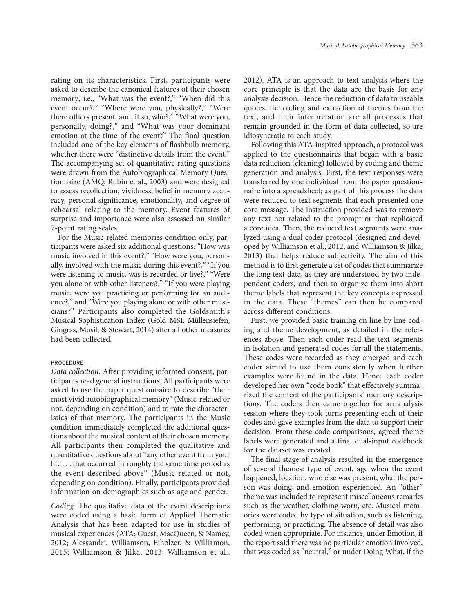rating on its characteristics. First, participants were asked to describe the canonical features of their chosen memory; i.e., "What was the event?," "When did this event occur?," "Where were you, physically?," "Were there others present, and, if so, who?," "What were you, personally, doing?," and "What was your dominant emotion at the time of the event?'' The final question included one of the key elements of flashbulb memory, whether there were "distinctive details from the event." The accompanying set of quantitative rating questions were drawn from the Autobiographical Memory Questionnaire (AMQ; Rubin et al., 2003) and were designed to assess recollection, vividness, belief in memory accuracy, personal significance, emotionality, and degree of rehearsal relating to the memory. Event features of surprise and importance were also assessed on similar 7-point rating scales.

For the Music-related memories condition only, participants were asked six additional questions: ''How was music involved in this event?," "How were you, personally, involved with the music during this event?," "If you were listening to music, was is recorded or live?," "Were you alone or with other listeners?," "If you were playing music, were you practicing or performing for an audience?," and "Were you playing alone or with other musicians?'' Participants also completed the Goldsmith's Musical Sophistication Index (Gold MSI: Müllensiefen, Gingras, Musil, & Stewart, 2014) after all other measures had been collected.

# PROCEDURE

Data collection. After providing informed consent, participants read general instructions. All participants were asked to use the paper questionnaire to describe ''their most vivid autobiographical memory'' (Music-related or not, depending on condition) and to rate the characteristics of that memory. The participants in the Music condition immediately completed the additional questions about the musical content of their chosen memory. All participants then completed the qualitative and quantitative questions about ''any other event from your life ... that occurred in roughly the same time period as the event described above'' (Music-related or not, depending on condition). Finally, participants provided information on demographics such as age and gender.

Coding. The qualitative data of the event descriptions were coded using a basic form of Applied Thematic Analysis that has been adapted for use in studies of musical experiences (ATA; Guest, MacQueen, & Namey, 2012; Alessandri, Williamson, Eiholzer, & Williamon, 2015; Williamson & Jilka, 2013; Williamson et al.,

2012). ATA is an approach to text analysis where the core principle is that the data are the basis for any analysis decision. Hence the reduction of data to useable quotes, the coding and extraction of themes from the text, and their interpretation are all processes that remain grounded in the form of data collected, so are idiosyncratic to each study.

Following this ATA-inspired approach, a protocol was applied to the questionnaires that began with a basic data reduction (cleaning) followed by coding and theme generation and analysis. First, the text responses were transferred by one individual from the paper questionnaire into a spreadsheet; as part of this process the data were reduced to text segments that each presented one core message. The instruction provided was to remove any text not related to the prompt or that replicated a core idea. Then, the reduced text segments were analyzed using a dual coder protocol (designed and developed by Williamson et al., 2012, and Williamson & Jilka, 2013) that helps reduce subjectivity. The aim of this method is to first generate a set of codes that summarize the long text data, as they are understood by two independent coders, and then to organize them into short theme labels that represent the key concepts expressed in the data. These "themes" can then be compared across different conditions.

First, we provided basic training on line by line coding and theme development, as detailed in the references above. Then each coder read the text segments in isolation and generated codes for all the statements. These codes were recorded as they emerged and each coder aimed to use them consistently when further examples were found in the data. Hence each coder developed her own "code book" that effectively summarized the content of the participants' memory descriptions. The coders then came together for an analysis session where they took turns presenting each of their codes and gave examples from the data to support their decision. From these code comparisons, agreed theme labels were generated and a final dual-input codebook for the dataset was created.

The final stage of analysis resulted in the emergence of several themes: type of event, age when the event happened, location, who else was present, what the person was doing, and emotion experienced. An ''other'' theme was included to represent miscellaneous remarks such as the weather, clothing worn, etc. Musical memories were coded by type of situation, such as listening, performing, or practicing. The absence of detail was also coded when appropriate. For instance, under Emotion, if the report said there was no particular emotion involved, that was coded as ''neutral,'' or under Doing What, if the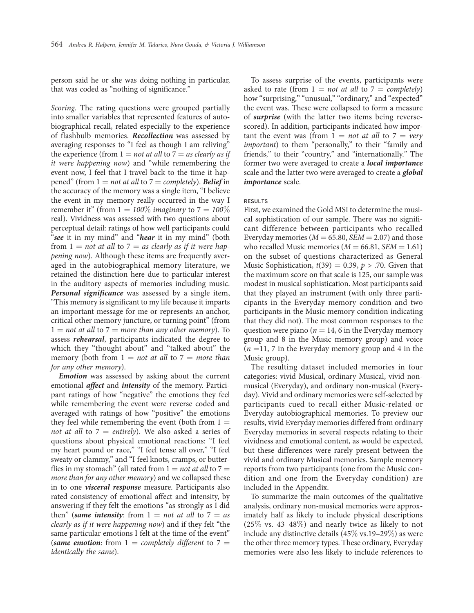person said he or she was doing nothing in particular, that was coded as ''nothing of significance.''

Scoring. The rating questions were grouped partially into smaller variables that represented features of autobiographical recall, related especially to the experience of flashbulb memories. Recollection was assessed by averaging responses to "I feel as though I am reliving" the experience (from  $1 = not$  at all to  $7 = as$  clearly as if it were happening now) and ''while remembering the event now, I feel that I travel back to the time it happened" (from  $1 = not$  at all to  $7 = completely$ ). Belief in the accuracy of the memory was a single item, ''I believe the event in my memory really occurred in the way I remember it" (from  $1 = 100\%$  imaginary to  $7 = 100\%$ real). Vividness was assessed with two questions about perceptual detail: ratings of how well participants could "see it in my mind" and "hear it in my mind" (both from  $1 = not$  at all to  $7 = as$  clearly as if it were happening now). Although these items are frequently averaged in the autobiographical memory literature, we retained the distinction here due to particular interest in the auditory aspects of memories including music. Personal significance was assessed by a single item, ''This memory is significant to my life because it imparts an important message for me or represents an anchor, critical other memory juncture, or turning point'' (from  $1 = not$  at all to  $7 = more$  than any other memory). To assess rehearsal, participants indicated the degree to which they "thought about" and "talked about" the memory (both from  $1 = not$  at all to  $7 = more$  than for any other memory).

Emotion was assessed by asking about the current emotional *affect* and *intensity* of the memory. Participant ratings of how "negative" the emotions they feel while remembering the event were reverse coded and averaged with ratings of how "positive" the emotions they feel while remembering the event (both from  $1 =$ not at all to  $7 =$  entirely). We also asked a series of questions about physical emotional reactions: ''I feel my heart pound or race," "I feel tense all over," "I feel sweaty or clammy," and "I feel knots, cramps, or butterflies in my stomach" (all rated from  $1 = not$  at all to  $7 =$ more than for any other memory) and we collapsed these in to one visceral response measure. Participants also rated consistency of emotional affect and intensity, by answering if they felt the emotions "as strongly as I did then" (same intensity: from  $1 = not$  at all to  $7 = as$ clearly as if it were happening now) and if they felt ''the same particular emotions I felt at the time of the event'' (same emotion: from  $1 =$  completely different to  $7 =$ identically the same).

To assess surprise of the events, participants were asked to rate (from  $1 = not$  at all to  $7 = completely$ ) how "surprising," "unusual," "ordinary," and "expected" the event was. These were collapsed to form a measure of surprise (with the latter two items being reversescored). In addition, participants indicated how important the event was (from  $1 = not at all to 7 = very$ important) to them "personally," to their "family and friends," to their "country," and "internationally." The former two were averaged to create a *local importance* scale and the latter two were averaged to create a **global** importance scale.

# RESULTS

First, we examined the Gold MSI to determine the musical sophistication of our sample. There was no significant difference between participants who recalled Everyday memories ( $M = 65.80$ , SEM = 2.07) and those who recalled Music memories ( $M = 66.81$ , SEM = 1.61) on the subset of questions characterized as General Music Sophistication,  $t(39) = 0.39$ ,  $p > .70$ . Given that the maximum score on that scale is 125, our sample was modest in musical sophistication. Most participants said that they played an instrument (with only three participants in the Everyday memory condition and two participants in the Music memory condition indicating that they did not). The most common responses to the question were piano ( $n = 14$ , 6 in the Everyday memory group and 8 in the Music memory group) and voice  $(n = 11, 7$  in the Everyday memory group and 4 in the Music group).

The resulting dataset included memories in four categories: vivid Musical, ordinary Musical, vivid nonmusical (Everyday), and ordinary non-musical (Everyday). Vivid and ordinary memories were self-selected by participants cued to recall either Music-related or Everyday autobiographical memories. To preview our results, vivid Everyday memories differed from ordinary Everyday memories in several respects relating to their vividness and emotional content, as would be expected, but these differences were rarely present between the vivid and ordinary Musical memories. Sample memory reports from two participants (one from the Music condition and one from the Everyday condition) are included in the Appendix.

To summarize the main outcomes of the qualitative analysis, ordinary non-musical memories were approximately half as likely to include physical descriptions  $(25\% \text{ vs. } 43-48\%)$  and nearly twice as likely to not include any distinctive details (45% vs.19–29%) as were the other three memory types. These ordinary, Everyday memories were also less likely to include references to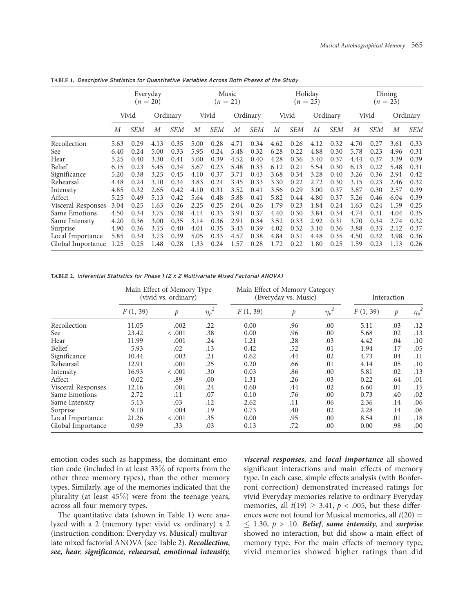|                    | Everyday<br>$(n = 20)$ |            |          |            | Music<br>$(n = 21)$ |            |          | Holiday<br>$(n = 25)$ |       |      | Dining<br>$(n = 23)$ |            |       |            |          |            |
|--------------------|------------------------|------------|----------|------------|---------------------|------------|----------|-----------------------|-------|------|----------------------|------------|-------|------------|----------|------------|
|                    | Vivid                  |            | Ordinary |            | Vivid               |            | Ordinary |                       | Vivid |      | Ordinary             |            | Vivid |            | Ordinary |            |
|                    | М                      | <b>SEM</b> | М        | <b>SEM</b> | М                   | <b>SEM</b> | М        | <b>SEM</b>            | М     | SEM  | М                    | <b>SEM</b> | М     | <b>SEM</b> | М        | <b>SEM</b> |
| Recollection       | 5.63                   | 0.29       | 4.13     | 0.35       | 5.00                | 0.28       | 4.71     | 0.34                  | 4.62  | 0.26 | 4.12                 | 0.32       | 4.70  | 0.27       | 3.61     | 0.33       |
| See                | 6.40                   | 0.24       | 5.00     | 0.33       | 5.95                | 0.24       | 5.48     | 0.32                  | 6.28  | 0.22 | 4.88                 | 0.30       | 5.78  | 0.23       | 4.96     | 0.31       |
| Hear               | 5.25                   | 0.40       | 3.30     | 0.41       | 5.00                | 0.39       | 4.52     | 0.40                  | 4.28  | 0.36 | 3.40                 | 0.37       | 4.44  | 0.37       | 3.39     | 0.39       |
| Belief             | 6.15                   | 0.23       | 5.45     | 0.34       | 5.67                | 0.23       | 5.48     | 0.33                  | 6.12  | 0.21 | 5.54                 | 0.30       | 6.13  | 0.22       | 5.48     | 0.31       |
| Significance       | 5.20                   | 0.38       | 3.25     | 0.45       | 4.10                | 0.37       | 3.71     | 0.43                  | 3.68  | 0.34 | 3.28                 | 0.40       | 3.26  | 0.36       | 2.91     | 0.42       |
| Rehearsal          | 4.48                   | 0.24       | 3.10     | 0.34       | 3.83                | 0.24       | 3.45     | 0.33                  | 3.30  | 0.22 | 2.72                 | 0.30       | 3.15  | 0.23       | 2.46     | 0.32       |
| Intensity          | 4.85                   | 0.32       | 2.65     | 0.42       | 4.10                | 0.31       | 3.52     | 0.41                  | 3.56  | 0.29 | 3.00                 | 0.37       | 3.87  | 0.30       | 2.57     | 0.39       |
| Affect             | 5.25                   | 0.49       | 5.13     | 0.42       | 5.64                | 0.48       | 5.88     | 0.41                  | 5.82  | 0.44 | 4.80                 | 0.37       | 5.26  | 0.46       | 6.04     | 0.39       |
| Visceral Responses | 3.04                   | 0.25       | 1.63     | 0.26       | 2.25                | 0.25       | 2.04     | 0.26                  | 1.79  | 0.23 | 1.84                 | 0.24       | 1.63  | 0.24       | 1.59     | 0.25       |
| Same Emotions      | 4.50                   | 0.34       | 3.75     | 0.38       | 4.14                | 0.33       | 3.91     | 0.37                  | 4.40  | 0.30 | 3.84                 | 0.34       | 4.74  | 0.31       | 4.04     | 0.35       |
| Same Intensity     | 4.20                   | 0.36       | 3.00     | 0.35       | 3.14                | 0.36       | 2.91     | 0.34                  | 3.52  | 0.33 | 2.92                 | 0.31       | 3.70  | 0.34       | 2.74     | 0.32       |
| Surprise           | 4.90                   | 0.36       | 3.15     | 0.40       | 4.01                | 0.35       | 3.43     | 0.39                  | 4.02  | 0.32 | 3.10                 | 0.36       | 3.88  | 0.33       | 2.12     | 0.37       |
| Local Importance   | 5.85                   | 0.34       | 3.73     | 0.39       | 5.05                | 0.33       | 4.57     | 0.38                  | 4.84  | 0.31 | 4.48                 | 0.35       | 4.50  | 0.32       | 3.98     | 0.36       |
| Global Importance  | 1.25                   | 0.25       | 1.48     | 0.28       | 1.33                | 0.24       | 1.57     | 0.28                  | 1.72  | 0.22 | 1.80                 | 0.25       | 1.59  | 0.23       | 1.13     | 0.26       |

TABLE 1. Descriptive Statistics for Quantitative Variables Across Both Phases of the Study

TABLE 2. Inferential Statistics for Phase <sup>1</sup> (2 <sup>x</sup> 2 Multivariate Mixed Factorial ANOVA)

|                    |          | Main Effect of Memory Type<br>(vivid vs. ordinary) |                            | Main Effect of Memory Category<br>(Everyday vs. Music) | Interaction |                            |          |               |            |
|--------------------|----------|----------------------------------------------------|----------------------------|--------------------------------------------------------|-------------|----------------------------|----------|---------------|------------|
|                    | F(1, 39) | p                                                  | $\overline{2}$<br>$\eta_p$ | F(1, 39)                                               | p           | $\overline{2}$<br>$\eta_p$ | F(1, 39) | $\mathcal{P}$ | $\eta_p^2$ |
| Recollection       | 11.05    | .002                                               | .22                        | 0.00                                                   | .96         | .00                        | 5.11     | .03           | .12        |
| See                | 23.42    | < 0.001                                            | .38                        | 0.00                                                   | .96         | .00                        | 5.68     | .02           | .13        |
| Hear               | 11.99    | .001                                               | .24                        | 1.21                                                   | .28         | .03                        | 4.42     | .04           | .10        |
| <b>Belief</b>      | 5.93     | .02                                                | .13                        | 0.42                                                   | .52         | .01                        | 1.94     | .17           | .05        |
| Significance       | 10.44    | .003                                               | .21                        | 0.62                                                   | .44         | .02                        | 4.73     | .04           | .11        |
| Rehearsal          | 12.91    | .001                                               | .25                        | 0.20                                                   | .66         | .01                        | 4.14     | .05           | .10        |
| Intensity          | 16.93    | < 0.001                                            | .30                        | 0.03                                                   | .86         | .00                        | 5.81     | .02           | .13        |
| Affect             | 0.02     | .89                                                | .00                        | 1.31                                                   | .26         | .03                        | 0.22     | .64           | .01        |
| Visceral Responses | 12.16    | .001                                               | .24                        | 0.60                                                   | .44         | .02                        | 6.60     | .01           | .15        |
| Same Emotions      | 2.72     | .11                                                | .07                        | 0.10                                                   | .76         | .00                        | 0.73     | .40           | .02        |
| Same Intensity     | 5.13     | .03                                                | .12                        | 2.62                                                   | .11         | .06                        | 2.36     | .14           | .06        |
| Surprise           | 9.10     | .004                                               | .19                        | 0.73                                                   | .40         | .02                        | 2.28     | .14           | .06        |
| Local Importance   | 21.26    | < .001                                             | .35                        | 0.00                                                   | .95         | .00                        | 8.54     | .01           | .18        |
| Global Importance  | 0.99     | .33                                                | .03                        | 0.13                                                   | .72         | .00                        | 0.00     | .98           | .00        |

emotion codes such as happiness, the dominant emotion code (included in at least 33% of reports from the other three memory types), than the other memory types. Similarly, age of the memories indicated that the plurality (at least 45%) were from the teenage years, across all four memory types.

The quantitative data (shown in Table 1) were analyzed with a 2 (memory type: vivid vs. ordinary) x 2 (instruction condition: Everyday vs. Musical) multivariate mixed factorial ANOVA (see Table 2). Recollection, see, hear, significance, rehearsal, emotional intensity,

visceral responses, and local importance all showed significant interactions and main effects of memory type. In each case, simple effects analysis (with Bonferroni correction) demonstrated increased ratings for vivid Everyday memories relative to ordinary Everyday memories, all  $t(19) \geq 3.41$ ,  $p < .005$ , but these differences were not found for Musical memories, all  $t(20)$  =  $\leq$  1.30,  $p > 0.10$ . Belief, same intensity, and surprise showed no interaction, but did show a main effect of memory type. For the main effects of memory type, vivid memories showed higher ratings than did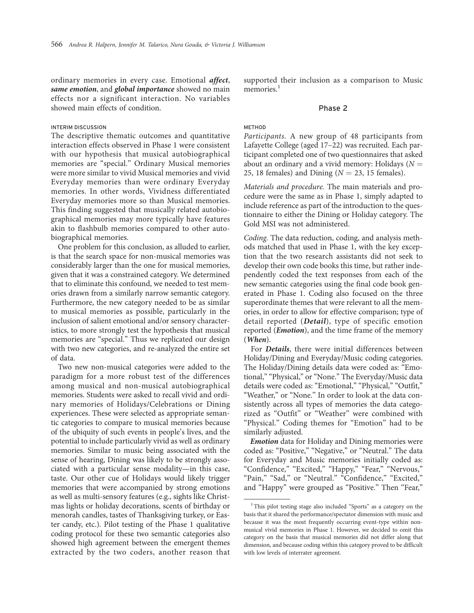ordinary memories in every case. Emotional affect, same emotion, and global importance showed no main effects nor a significant interaction. No variables showed main effects of condition.

# INTERIM DISCUSSION

The descriptive thematic outcomes and quantitative interaction effects observed in Phase 1 were consistent with our hypothesis that musical autobiographical memories are "special." Ordinary Musical memories were more similar to vivid Musical memories and vivid Everyday memories than were ordinary Everyday memories. In other words, Vividness differentiated Everyday memories more so than Musical memories. This finding suggested that musically related autobiographical memories may more typically have features akin to flashbulb memories compared to other autobiographical memories.

One problem for this conclusion, as alluded to earlier, is that the search space for non-musical memories was considerably larger than the one for musical memories, given that it was a constrained category. We determined that to eliminate this confound, we needed to test memories drawn from a similarly narrow semantic category. Furthermore, the new category needed to be as similar to musical memories as possible, particularly in the inclusion of salient emotional and/or sensory characteristics, to more strongly test the hypothesis that musical memories are "special." Thus we replicated our design with two new categories, and re-analyzed the entire set of data.

Two new non-musical categories were added to the paradigm for a more robust test of the differences among musical and non-musical autobiographical memories. Students were asked to recall vivid and ordinary memories of Holidays/Celebrations or Dining experiences. These were selected as appropriate semantic categories to compare to musical memories because of the ubiquity of such events in people's lives, and the potential to include particularly vivid as well as ordinary memories. Similar to music being associated with the sense of hearing, Dining was likely to be strongly associated with a particular sense modality—in this case, taste. Our other cue of Holidays would likely trigger memories that were accompanied by strong emotions as well as multi-sensory features (e.g., sights like Christmas lights or holiday decorations, scents of birthday or menorah candles, tastes of Thanksgiving turkey, or Easter candy, etc.). Pilot testing of the Phase 1 qualitative coding protocol for these two semantic categories also showed high agreement between the emergent themes extracted by the two coders, another reason that

supported their inclusion as a comparison to Music memories.<sup>1</sup>

# Phase 2

# METHOD

# Participants. A new group of 48 participants from Lafayette College (aged 17–22) was recruited. Each participant completed one of two questionnaires that asked about an ordinary and a vivid memory: Holidays ( $N =$ 25, 18 females) and Dining ( $N = 23$ , 15 females).

Materials and procedure. The main materials and procedure were the same as in Phase 1, simply adapted to include reference as part of the introduction to the questionnaire to either the Dining or Holiday category. The Gold MSI was not administered.

Coding. The data reduction, coding, and analysis methods matched that used in Phase 1, with the key exception that the two research assistants did not seek to develop their own code books this time, but rather independently coded the text responses from each of the new semantic categories using the final code book generated in Phase 1. Coding also focused on the three superordinate themes that were relevant to all the memories, in order to allow for effective comparison; type of detail reported (*Detail*), type of specific emotion reported (*Emotion*), and the time frame of the memory (When).

For Details, there were initial differences between Holiday/Dining and Everyday/Music coding categories. The Holiday/Dining details data were coded as: ''Emotional," "Physical," or "None." The Everyday/Music data details were coded as: "Emotional," "Physical," "Outfit," "Weather," or "None." In order to look at the data consistently across all types of memories the data categorized as ''Outfit'' or ''Weather'' were combined with "Physical." Coding themes for "Emotion" had to be similarly adjusted.

Emotion data for Holiday and Dining memories were coded as: "Positive," "Negative," or "Neutral." The data for Everyday and Music memories initially coded as: ''Confidence,'' ''Excited,'' ''Happy,'' ''Fear,'' ''Nervous,'' "Pain," "Sad," or "Neutral." "Confidence," "Excited," and "Happy" were grouped as "Positive." Then "Fear,"

<sup>&</sup>lt;sup>1</sup> This pilot testing stage also included "Sports" as a category on the basis that it shared the performance/spectator dimension with music and because it was the most frequently occurring event-type within nonmusical vivid memories in Phase 1. However, we decided to omit this category on the basis that musical memories did not differ along that dimension, and because coding within this category proved to be difficult with low levels of interrater agreement.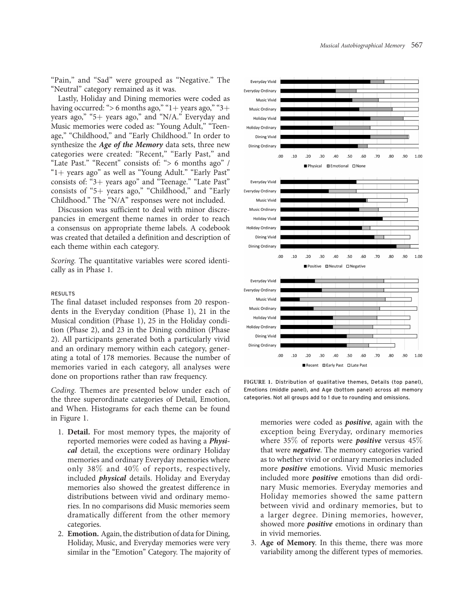''Pain,'' and ''Sad'' were grouped as ''Negative.'' The "Neutral" category remained as it was.

Lastly, Holiday and Dining memories were coded as having occurred: " $> 6$  months ago," "1 + years ago," "3 + years ago," "5+ years ago," and "N/A." Everyday and Music memories were coded as: "Young Adult," "Teenage," "Childhood," and "Early Childhood." In order to synthesize the Age of the Memory data sets, three new categories were created: "Recent," "Early Past," and "Late Past." "Recent" consists of: "> 6 months ago" / " $1+$  years ago" as well as "Young Adult." "Early Past" consists of: " $3+$  years ago" and "Teenage." "Late Past" consists of "5+ years ago," "Childhood," and "Early Childhood.'' The ''N/A'' responses were not included.

Discussion was sufficient to deal with minor discrepancies in emergent theme names in order to reach a consensus on appropriate theme labels. A codebook was created that detailed a definition and description of each theme within each category.

Scoring. The quantitative variables were scored identically as in Phase 1.

# RESULTS

The final dataset included responses from 20 respondents in the Everyday condition (Phase 1), 21 in the Musical condition (Phase 1), 25 in the Holiday condition (Phase 2), and 23 in the Dining condition (Phase 2). All participants generated both a particularly vivid and an ordinary memory within each category, generating a total of 178 memories. Because the number of memories varied in each category, all analyses were done on proportions rather than raw frequency.

Coding. Themes are presented below under each of the three superordinate categories of Detail, Emotion, and When. Histograms for each theme can be found in Figure 1.

- 1. Detail. For most memory types, the majority of reported memories were coded as having a Physical detail, the exceptions were ordinary Holiday memories and ordinary Everyday memories where only 38% and 40% of reports, respectively, included physical details. Holiday and Everyday memories also showed the greatest difference in distributions between vivid and ordinary memories. In no comparisons did Music memories seem dramatically different from the other memory categories.
- 2. Emotion. Again, the distribution of data for Dining, Holiday, Music, and Everyday memories were very similar in the "Emotion" Category. The majority of



FIGURE 1. Distribution of qualitative themes, Details (top panel), Emotions (middle panel), and Age (bottom panel) across all memory categories. Not all groups add to 1 due to rounding and omissions.

memories were coded as *positive*, again with the exception being Everyday, ordinary memories where  $35\%$  of reports were **positive** versus  $45\%$ that were *negative*. The memory categories varied as to whether vivid or ordinary memories included more *positive* emotions. Vivid Music memories included more *positive* emotions than did ordinary Music memories. Everyday memories and Holiday memories showed the same pattern between vivid and ordinary memories, but to a larger degree. Dining memories, however, showed more *positive* emotions in ordinary than in vivid memories.

3. Age of Memory. In this theme, there was more variability among the different types of memories.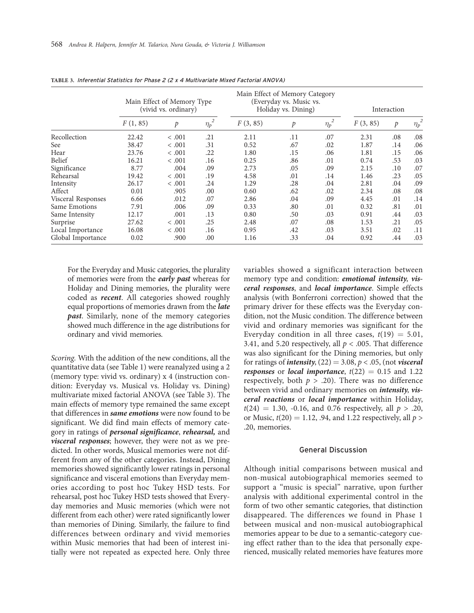|                    |          | Main Effect of Memory Type<br>(vivid vs. ordinary) |                            | Main Effect of Memory Category<br>(Everyday vs. Music vs.<br>Holiday vs. Dining) | Interaction   |               |          |               |                  |
|--------------------|----------|----------------------------------------------------|----------------------------|----------------------------------------------------------------------------------|---------------|---------------|----------|---------------|------------------|
|                    | F(1, 85) | p                                                  | $\overline{c}$<br>$\eta_p$ | F(3, 85)                                                                         | $\mathcal{P}$ | 2<br>$\eta_p$ | F(3, 85) | $\mathcal{P}$ | $\eta_p^{\;\;2}$ |
| Recollection       | 22.42    | < .001                                             | .21                        | 2.11                                                                             | .11           | .07           | 2.31     | .08           | .08              |
| See                | 38.47    | < .001                                             | .31                        | 0.52                                                                             | .67           | .02           | 1.87     | .14           | .06              |
| Hear               | 23.76    | < .001                                             | .22                        | 1.80                                                                             | .15           | .06           | 1.81     | .15           | .06              |
| <b>Belief</b>      | 16.21    | < .001                                             | .16                        | 0.25                                                                             | .86           | .01           | 0.74     | .53           | .03              |
| Significance       | 8.77     | .004                                               | .09                        | 2.73                                                                             | .05           | .09           | 2.15     | .10           | .07              |
| Rehearsal          | 19.42    | < .001                                             | .19                        | 4.58                                                                             | .01           | .14           | 1.46     | .23           | .05              |
| Intensity          | 26.17    | < .001                                             | .24                        | 1.29                                                                             | .28           | .04           | 2.81     | .04           | .09              |
| Affect             | 0.01     | .905                                               | .00                        | 0.60                                                                             | .62           | .02           | 2.34     | .08           | .08              |
| Visceral Responses | 6.66     | .012                                               | .07                        | 2.86                                                                             | .04           | .09           | 4.45     | .01           | .14              |
| Same Emotions      | 7.91     | .006                                               | .09                        | 0.33                                                                             | .80           | .01           | 0.32     | .81           | .01              |
| Same Intensity     | 12.17    | .001                                               | .13                        | 0.80                                                                             | .50           | .03           | 0.91     | .44           | .03              |
| Surprise           | 27.62    | < .001                                             | .25                        | 2.48                                                                             | .07           | .08           | 1.53     | .21           | .05              |
| Local Importance   | 16.08    | < .001                                             | .16                        | 0.95                                                                             | .42           | .03           | 3.51     | .02           | .11              |
| Global Importance  | 0.02     | .900                                               | .00                        | 1.16                                                                             | .33           | .04           | 0.92     | .44           | .03              |

TABLE 3. Inferential Statistics for Phase 2 (2 <sup>x</sup> 4 Multivariate Mixed Factorial ANOVA)

For the Everyday and Music categories, the plurality of memories were from the *early past* whereas for Holiday and Dining memories, the plurality were coded as *recent*. All categories showed roughly equal proportions of memories drawn from the late past. Similarly, none of the memory categories showed much difference in the age distributions for ordinary and vivid memories.

Scoring. With the addition of the new conditions, all the quantitative data (see Table 1) were reanalyzed using a 2 (memory type: vivid vs. ordinary) x 4 (instruction condition: Everyday vs. Musical vs. Holiday vs. Dining) multivariate mixed factorial ANOVA (see Table 3). The main effects of memory type remained the same except that differences in same emotions were now found to be significant. We did find main effects of memory category in ratings of personal significance, rehearsal, and visceral responses; however, they were not as we predicted. In other words, Musical memories were not different from any of the other categories. Instead, Dining memories showed significantly lower ratings in personal significance and visceral emotions than Everyday memories according to post hoc Tukey HSD tests. For rehearsal, post hoc Tukey HSD tests showed that Everyday memories and Music memories (which were not different from each other) were rated significantly lower than memories of Dining. Similarly, the failure to find differences between ordinary and vivid memories within Music memories that had been of interest initially were not repeated as expected here. Only three

variables showed a significant interaction between memory type and condition: *emotional intensity*, *vis*ceral responses, and local importance. Simple effects analysis (with Bonferroni correction) showed that the primary driver for these effects was the Everyday condition, not the Music condition. The difference between vivid and ordinary memories was significant for the Everyday condition in all three cases,  $t(19) = 5.01$ , 3.41, and 5.20 respectively, all  $p < .005$ . That difference was also significant for the Dining memories, but only for ratings of *intensity*,  $(22) = 3.08$ ,  $p < .05$ , (not *visceral*) responses or local importance,  $t(22) = 0.15$  and 1.22 respectively, both  $p > .20$ ). There was no difference between vivid and ordinary memories on *intensity*, *vis*ceral reactions or local importance within Holiday,  $t(24) = 1.30, -0.16,$  and 0.76 respectively, all  $p > .20$ , or Music,  $t(20) = 1.12$ , .94, and 1.22 respectively, all  $p >$ .20, memories.

#### General Discussion

Although initial comparisons between musical and non-musical autobiographical memories seemed to support a "music is special" narrative, upon further analysis with additional experimental control in the form of two other semantic categories, that distinction disappeared. The differences we found in Phase 1 between musical and non-musical autobiographical memories appear to be due to a semantic-category cueing effect rather than to the idea that personally experienced, musically related memories have features more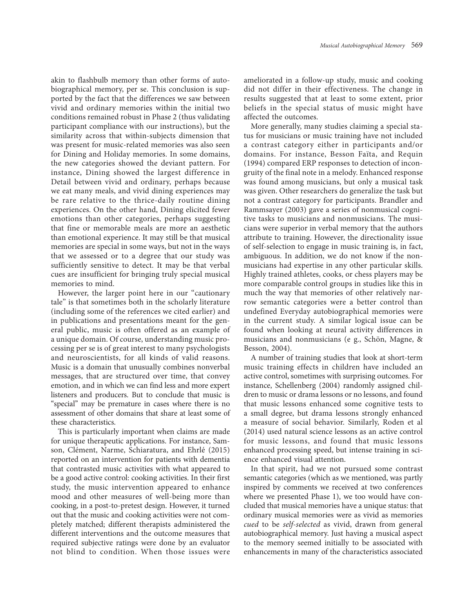akin to flashbulb memory than other forms of autobiographical memory, per se. This conclusion is supported by the fact that the differences we saw between vivid and ordinary memories within the initial two conditions remained robust in Phase 2 (thus validating participant compliance with our instructions), but the similarity across that within-subjects dimension that was present for music-related memories was also seen for Dining and Holiday memories. In some domains, the new categories showed the deviant pattern. For instance, Dining showed the largest difference in Detail between vivid and ordinary, perhaps because we eat many meals, and vivid dining experiences may be rare relative to the thrice-daily routine dining experiences. On the other hand, Dining elicited fewer emotions than other categories, perhaps suggesting that fine or memorable meals are more an aesthetic than emotional experience. It may still be that musical memories are special in some ways, but not in the ways that we assessed or to a degree that our study was sufficiently sensitive to detect. It may be that verbal cues are insufficient for bringing truly special musical memories to mind.

However, the larger point here in our "cautionary tale'' is that sometimes both in the scholarly literature (including some of the references we cited earlier) and in publications and presentations meant for the general public, music is often offered as an example of a unique domain. Of course, understanding music processing per se is of great interest to many psychologists and neuroscientists, for all kinds of valid reasons. Music is a domain that unusually combines nonverbal messages, that are structured over time, that convey emotion, and in which we can find less and more expert listeners and producers. But to conclude that music is "special" may be premature in cases where there is no assessment of other domains that share at least some of these characteristics.

This is particularly important when claims are made for unique therapeutic applications. For instance, Samson, Clément, Narme, Schiaratura, and Ehrlé (2015) reported on an intervention for patients with dementia that contrasted music activities with what appeared to be a good active control: cooking activities. In their first study, the music intervention appeared to enhance mood and other measures of well-being more than cooking, in a post-to-pretest design. However, it turned out that the music and cooking activities were not completely matched; different therapists administered the different interventions and the outcome measures that required subjective ratings were done by an evaluator not blind to condition. When those issues were

ameliorated in a follow-up study, music and cooking did not differ in their effectiveness. The change in results suggested that at least to some extent, prior beliefs in the special status of music might have affected the outcomes.

More generally, many studies claiming a special status for musicians or music training have not included a contrast category either in participants and/or domains. For instance, Besson Faïta, and Requin (1994) compared ERP responses to detection of incongruity of the final note in a melody. Enhanced response was found among musicians, but only a musical task was given. Other researchers do generalize the task but not a contrast category for participants. Brandler and Rammsayer (2003) gave a series of nonmusical cognitive tasks to musicians and nonmusicians. The musicians were superior in verbal memory that the authors attribute to training. However, the directionality issue of self-selection to engage in music training is, in fact, ambiguous. In addition, we do not know if the nonmusicians had expertise in any other particular skills. Highly trained athletes, cooks, or chess players may be more comparable control groups in studies like this in much the way that memories of other relatively narrow semantic categories were a better control than undefined Everyday autobiographical memories were in the current study. A similar logical issue can be found when looking at neural activity differences in musicians and nonmusicians (e g., Schön, Magne, & Besson, 2004).

A number of training studies that look at short-term music training effects in children have included an active control, sometimes with surprising outcomes. For instance, Schellenberg (2004) randomly assigned children to music or drama lessons or no lessons, and found that music lessons enhanced some cognitive tests to a small degree, but drama lessons strongly enhanced a measure of social behavior. Similarly, Roden et al (2014) used natural science lessons as an active control for music lessons, and found that music lessons enhanced processing speed, but intense training in science enhanced visual attention.

In that spirit, had we not pursued some contrast semantic categories (which as we mentioned, was partly inspired by comments we received at two conferences where we presented Phase 1), we too would have concluded that musical memories have a unique status: that ordinary musical memories were as vivid as memories cued to be self-selected as vivid, drawn from general autobiographical memory. Just having a musical aspect to the memory seemed initially to be associated with enhancements in many of the characteristics associated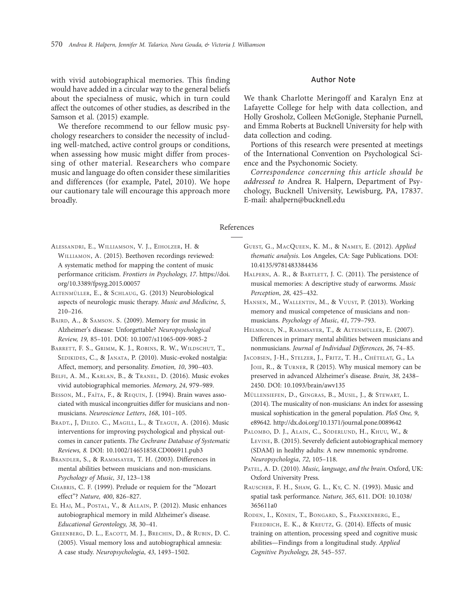with vivid autobiographical memories. This finding would have added in a circular way to the general beliefs about the specialness of music, which in turn could affect the outcomes of other studies, as described in the Samson et al. (2015) example.

We therefore recommend to our fellow music psychology researchers to consider the necessity of including well-matched, active control groups or conditions, when assessing how music might differ from processing of other material. Researchers who compare music and language do often consider these similarities and differences (for example, Patel, 2010). We hope our cautionary tale will encourage this approach more broadly.

# Author Note

We thank Charlotte Meringoff and Karalyn Enz at Lafayette College for help with data collection, and Holly Grosholz, Colleen McGonigle, Stephanie Purnell, and Emma Roberts at Bucknell University for help with data collection and coding.

Portions of this research were presented at meetings of the International Convention on Psychological Science and the Psychonomic Society.

Correspondence concerning this article should be addressed to Andrea R. Halpern, Department of Psychology, Bucknell University, Lewisburg, PA, 17837. E-mail: ahalpern@bucknell.edu

# References

ALESSANDRI, E., WILLIAMSON, V. J., EIHOLZER, H. & WILLIAMON, A. (2015). Beethoven recordings reviewed: A systematic method for mapping the content of music performance criticism. Frontiers in Psychology, 17. [https://doi.](https://doi.org/10.3389/fpsyg.2015.00057) [org/10.3389/fpsyg.2015.00057](https://doi.org/10.3389/fpsyg.2015.00057)

ALTENMÜLLER, E., & SCHLAUG, G. (2013) Neurobiological aspects of neurologic music therapy. Music and Medicine, 5, 210–216.

BAIRD, A., & SAMSON. S. (2009). Memory for music in Alzheimer's disease: Unforgettable? Neuropsychological Review, 19, 85–101. DOI: 10.1007/s11065-009-9085-2

BARRETT, F. S., GRIMM, K. J., ROBINS, R. W., WILDSCHUT, T., SEDIKIDES, C., & JANATA, P. (2010). Music-evoked nostalgia: Affect, memory, and personality. Emotion, 10, 390–403.

BELFI, A. M., KARLAN, B., & TRANEL, D. (2016). Music evokes vivid autobiographical memories. Memory, 24, 979–989.

BESSON, M., FAÏTA, F., & REQUIN, J. (1994). Brain waves associated with musical incongruities differ for musicians and nonmusicians. Neuroscience Letters, 168, 101–105.

BRADT., J, DILEO. C., MAGILL, L., & TEAGUE, A. (2016). Music interventions for improving psychological and physical outcomes in cancer patients. The Cochrane Database of Systematic Reviews, 8. DOI: 10.1002/14651858.CD006911.pub3

BRANDLER, S., & RAMMSAYER, T. H. (2003). Differences in mental abilities between musicians and non-musicians. Psychology of Music, 31, 123–138

CHABRIS, C. F. (1999). Prelude or requiem for the ''Mozart effect''? Nature, 400, 826–827.

EL HAJ, M., POSTAL, V., & ALLAIN, P. (2012). Music enhances autobiographical memory in mild Alzheimer's disease. Educational Gerontology, 38, 30–41.

GREENBERG, D. L., EACOTT, M. J., BRECHIN, D., & RUBIN, D. C. (2005). Visual memory loss and autobiographical amnesia: A case study. Neuropsychologia, 43, 1493–1502.

GUEST, G., MACQUEEN, K. M., & NAMEY, E. (2012). Applied thematic analysis. Los Angeles, CA: Sage Publications. DOI: 10.4135/9781483384436

HALPERN, A. R., & BARTLETT, J. C. (2011). The persistence of musical memories: A descriptive study of earworms. Music Perception, 28, 425–432.

HANSEN, M., WALLENTIN, M., & VUUST, P. (2013). Working memory and musical competence of musicians and nonmusicians. Psychology of Music, 41, 779–793.

HELMBOLD, N., RAMMSAYER, T., & ALTENMÜLLER, E. (2007). Differences in primary mental abilities between musicians and nonmusicians. Journal of Individual Differences, 26, 74–85.

JACOBSEN, J-H., STELZER, J., FRITZ, T. H., CHÉTELAT, G., LA JOIE, R., & TURNER, R (2015). Why musical memory can be preserved in advanced Alzheimer's disease. Brain, 38, 2438– 2450. DOI: 10.1093/brain/awv135

MÜLLENSIEFEN, D., GINGRAS, B., MUSIL, J., & STEWART, L. (2014). The musicality of non-musicians: An index for assessing musical sophistication in the general population. PloS One, 9, e89642.<http://dx.doi.org/10.1371/journal.pone.0089642>

PALOMBO, D. J., ALAIN, C., SÖDERLUND, H., KHUU, W., & LEVINE, B. (2015). Severely deficient autobiographical memory (SDAM) in healthy adults: A new mnemonic syndrome. Neuropsychologia, 72, 105–118.

PATEL, A. D. (2010). Music, language, and the brain. Oxford, UK: Oxford University Press.

RAUSCHER, F. H., SHAW, G. L., KY, C. N. (1993). Music and spatial task performance. Nature, 365, 611. DOI: 10.1038/ 365611a0

RODEN, I., KÖNEN, T., BONGARD, S., FRANKENBERG, E., FRIEDRICH, E. K., & KREUTZ, G. (2014). Effects of music training on attention, processing speed and cognitive music abilities—Findings from a longitudinal study. Applied Cognitive Psychology, 28, 545–557.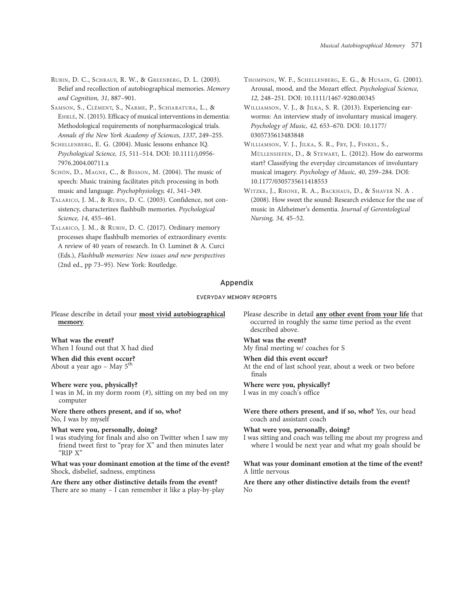RUBIN, D. C., SCHRAUF, R. W., & GREENBERG, D. L. (2003). Belief and recollection of autobiographical memories. Memory and Cognition, 31, 887–901.

SAMSON, S., CLÉMENT, S., NARME, P., SCHIARATURA, L., & EHRLÉ, N. (2015). Efficacy of musical interventions in dementia: Methodological requirements of nonpharmacological trials. Annals of the New York Academy of Sciences, 1337, 249–255.

SCHELLENBERG, E. G. (2004). Music lessons enhance IQ. Psychological Science, 15, 511–514. DOI: 10.1111/j.0956- 7976.2004.00711.x

SCHÖN, D., MAGNE, C., & BESSON, M. (2004). The music of speech: Music training facilitates pitch processing in both music and language. Psychophysiology, 41, 341–349.

TALARICO, J. M., & RUBIN, D. C. (2003). Confidence, not consistency, characterizes flashbulb memories. Psychological Science, 14, 455–461.

TALARICO, J. M., & RUBIN, D. C. (2017). Ordinary memory processes shape flashbulb memories of extraordinary events: A review of 40 years of research. In O. Luminet & A. Curci (Eds.), Flashbulb memories: New issues and new perspectives (2nd ed., pp 73–95). New York: Routledge.

THOMPSON, W. F., SCHELLENBERG, E. G., & HUSAIN, G. (2001). Arousal, mood, and the Mozart effect. Psychological Science, 12, 248–251. DOI: 10.1111/1467-9280.00345

WILLIAMSON, V. J., & JILKA, S. R. (2013). Experiencing earworms: An interview study of involuntary musical imagery. Psychology of Music, 42, 653–670. DOI: 10.1177/ 0305735613483848

WILLIAMSON, V. J., JILKA, S. R., FRY, J., FINKEL, S., MÜLLENSIEFEN, D., & STEWART, L. (2012). How do earworms start? Classifying the everyday circumstances of involuntary musical imagery. Psychology of Music, 40, 259–284. DOI: 10.1177/0305735611418553

WITZKE, J., RHONE, R. A., BACKHAUS, D., & SHAVER N. A . (2008). How sweet the sound: Research evidence for the use of music in Alzheimer's dementia. Journal of Gerontological Nursing, 34, 45–52.

# Appendix

#### EVERYDAY MEMORY REPORTS

Please describe in detail your most vivid autobiographical memory.

# What was the event?

When I found out that X had died

# When did this event occur? About a year ago – May  $5<sup>th</sup>$

#### Where were you, physically?

I was in M, in my dorm room (#), sitting on my bed on my computer

Were there others present, and if so, who? No, I was by myself

# What were you, personally, doing?

I was studying for finals and also on Twitter when I saw my friend tweet first to "pray for X" and then minutes later ''RIP X''

### What was your dominant emotion at the time of the event? Shock, disbelief, sadness, emptiness

Are there any other distinctive details from the event? There are so many – I can remember it like a play-by-play Please describe in detail any other event from your life that occurred in roughly the same time period as the event described above.

# What was the event?

My final meeting w/ coaches for S

# When did this event occur?

At the end of last school year, about a week or two before finals

## Where were you, physically?

I was in my coach's office

Were there others present, and if so, who? Yes, our head coach and assistant coach

# What were you, personally, doing?

I was sitting and coach was telling me about my progress and where I would be next year and what my goals should be

# What was your dominant emotion at the time of the event? A little nervous

Are there any other distinctive details from the event? No